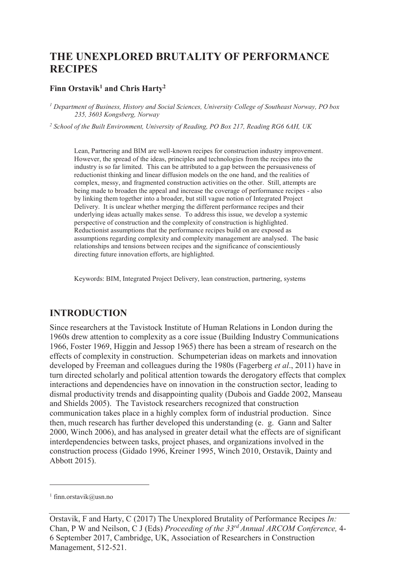# **THE UNEXPLORED BRUTALITY OF PERFORMANCE RECIPES**

#### **Finn Orstavik<sup>1</sup> and Chris Harty<sup>2</sup>**

*1 Department of Business, History and Social Sciences, University College of Southeast Norway, PO box 235, 3603 Kongsberg, Norway* 

<sup>2</sup> School of the Built Environment, University of Reading, PO Box 217, Reading RG6 6AH, UK

Lean, Partnering and BIM are well-known recipes for construction industry improvement. However, the spread of the ideas, principles and technologies from the recipes into the industry is so far limited. This can be attributed to a gap between the persuasiveness of reductionist thinking and linear diffusion models on the one hand, and the realities of complex, messy, and fragmented construction activities on the other. Still, attempts are being made to broaden the appeal and increase the coverage of performance recipes - also by linking them together into a broader, but still vague notion of Integrated Project Delivery. It is unclear whether merging the different performance recipes and their underlying ideas actually makes sense. To address this issue, we develop a systemic perspective of construction and the complexity of construction is highlighted. Reductionist assumptions that the performance recipes build on are exposed as assumptions regarding complexity and complexity management are analysed. The basic relationships and tensions between recipes and the significance of conscientiously directing future innovation efforts, are highlighted.

Keywords: BIM, Integrated Project Delivery, lean construction, partnering, systems

### **INTRODUCTION**

Since researchers at the Tavistock Institute of Human Relations in London during the 1960s drew attention to complexity as a core issue (Building Industry Communications 1966, Foster 1969, Higgin and Jessop 1965) there has been a stream of research on the effects of complexity in construction. Schumpeterian ideas on markets and innovation developed by Freeman and colleagues during the 1980s (Fagerberg *et al*., 2011) have in turn directed scholarly and political attention towards the derogatory effects that complex interactions and dependencies have on innovation in the construction sector, leading to dismal productivity trends and disappointing quality (Dubois and Gadde 2002, Manseau and Shields 2005). The Tavistock researchers recognized that construction communication takes place in a highly complex form of industrial production. Since then, much research has further developed this understanding (e. g. Gann and Salter 2000, Winch 2006), and has analysed in greater detail what the effects are of significant interdependencies between tasks, project phases, and organizations involved in the construction process (Gidado 1996, Kreiner 1995, Winch 2010, Orstavik, Dainty and Abbott 2015).

-

<sup>1</sup> finn.orstavik@usn.no

Orstavik, F and Harty, C (2017) The Unexplored Brutality of Performance Recipes *In:*  Chan, P W and Neilson, C J (Eds) *Proceeding of the 33rd Annual ARCOM Conference,* 4- 6 September 2017, Cambridge, UK, Association of Researchers in Construction Management, 512-521.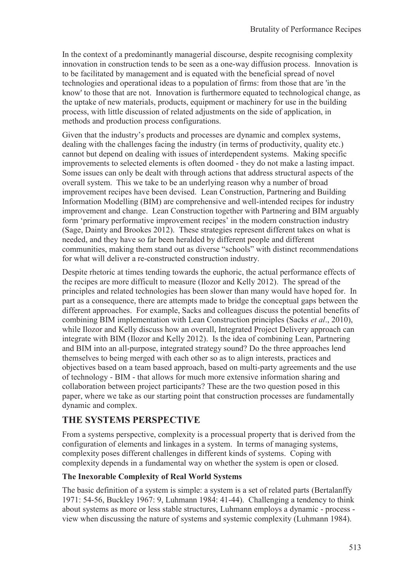In the context of a predominantly managerial discourse, despite recognising complexity innovation in construction tends to be seen as a one-way diffusion process. Innovation is to be facilitated by management and is equated with the beneficial spread of novel technologies and operational ideas to a population of firms: from those that are 'in the know' to those that are not. Innovation is furthermore equated to technological change, as the uptake of new materials, products, equipment or machinery for use in the building process, with little discussion of related adjustments on the side of application, in methods and production process configurations.

Given that the industry's products and processes are dynamic and complex systems, dealing with the challenges facing the industry (in terms of productivity, quality etc.) cannot but depend on dealing with issues of interdependent systems. Making specific improvements to selected elements is often doomed - they do not make a lasting impact. Some issues can only be dealt with through actions that address structural aspects of the overall system. This we take to be an underlying reason why a number of broad improvement recipes have been devised. Lean Construction, Partnering and Building Information Modelling (BIM) are comprehensive and well-intended recipes for industry improvement and change. Lean Construction together with Partnering and BIM arguably form 'primary performative improvement recipes' in the modern construction industry (Sage, Dainty and Brookes 2012). These strategies represent different takes on what is needed, and they have so far been heralded by different people and different communities, making them stand out as diverse "schools" with distinct recommendations for what will deliver a re-constructed construction industry.

Despite rhetoric at times tending towards the euphoric, the actual performance effects of the recipes are more difficult to measure (Ilozor and Kelly 2012). The spread of the principles and related technologies has been slower than many would have hoped for. In part as a consequence, there are attempts made to bridge the conceptual gaps between the different approaches. For example, Sacks and colleagues discuss the potential benefits of combining BIM implementation with Lean Construction principles (Sacks *et al*., 2010), while Ilozor and Kelly discuss how an overall, Integrated Project Delivery approach can integrate with BIM (Ilozor and Kelly 2012). Is the idea of combining Lean, Partnering and BIM into an all-purpose, integrated strategy sound? Do the three approaches lend themselves to being merged with each other so as to align interests, practices and objectives based on a team based approach, based on multi-party agreements and the use of technology - BIM - that allows for much more extensive information sharing and collaboration between project participants? These are the two question posed in this paper, where we take as our starting point that construction processes are fundamentally dynamic and complex.

## **THE SYSTEMS PERSPECTIVE**

From a systems perspective, complexity is a processual property that is derived from the configuration of elements and linkages in a system. In terms of managing systems, complexity poses different challenges in different kinds of systems. Coping with complexity depends in a fundamental way on whether the system is open or closed.

### **The Inexorable Complexity of Real World Systems**

The basic definition of a system is simple: a system is a set of related parts (Bertalanffy 1971: 54-56, Buckley 1967: 9, Luhmann 1984: 41-44). Challenging a tendency to think about systems as more or less stable structures, Luhmann employs a dynamic - process view when discussing the nature of systems and systemic complexity (Luhmann 1984).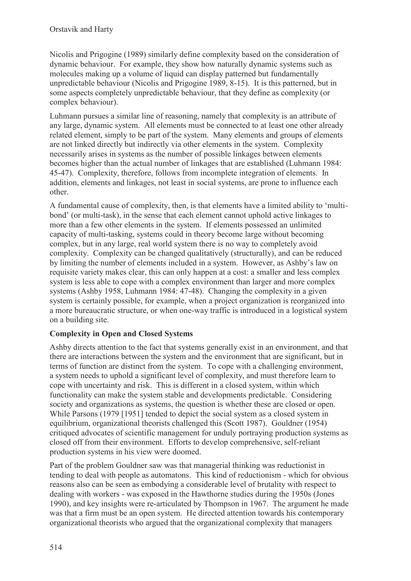Nicolis and Prigogine (1989) similarly define complexity based on the consideration of dynamic behaviour. For example, they show how naturally dynamic systems such as molecules making up a volume of liquid can display patterned but fundamentally unpredictable behaviour (Nicolis and Prigogine 1989, 8-15). It is this patterned, but in some aspects completely unpredictable behaviour, that they define as complexity (or complex behaviour).

Luhmann pursues a similar line of reasoning, namely that complexity is an attribute of any large, dynamic system. All elements must be connected to at least one other already related element, simply to be part of the system. Many elements and groups of elements are not linked directly but indirectly via other elements in the system. Complexity necessarily arises in systems as the number of possible linkages between elements becomes higher than the actual number of linkages that are established (Luhmann 1984: 45-47). Complexity, therefore, follows from incomplete integration of elements. In addition, elements and linkages, not least in social systems, are prone to influence each other.

A fundamental cause of complexity, then, is that elements have a limited ability to 'multibond' (or multi-task), in the sense that each element cannot uphold active linkages to more than a few other elements in the system. If elements possessed an unlimited capacity of multi-tasking, systems could in theory become large without becoming complex, but in any large, real world system there is no way to completely avoid complexity. Complexity can be changed qualitatively (structurally), and can be reduced by limiting the number of elements included in a system. However, as Ashby's law on requisite variety makes clear, this can only happen at a cost: a smaller and less complex system is less able to cope with a complex environment than larger and more complex systems (Ashby 1958, Luhmann 1984: 47-48). Changing the complexity in a given system is certainly possible, for example, when a project organization is reorganized into a more bureaucratic structure, or when one-way traffic is introduced in a logistical system on a building site.

### **Complexity in Open and Closed Systems**

Ashby directs attention to the fact that systems generally exist in an environment, and that there are interactions between the system and the environment that are significant, but in terms of function are distinct from the system. To cope with a challenging environment, a system needs to uphold a significant level of complexity, and must therefore learn to cope with uncertainty and risk. This is different in a closed system, within which functionality can make the system stable and developments predictable. Considering society and organizations as systems, the question is whether these are closed or open. While Parsons (1979 [1951] tended to depict the social system as a closed system in equilibrium, organizational theorists challenged this (Scott 1987). Gouldner (1954) critiqued advocates of scientific management for unduly portraying production systems as closed off from their environment. Efforts to develop comprehensive, self-reliant production systems in his view were doomed.

Part of the problem Gouldner saw was that managerial thinking was reductionist in tending to deal with people as automatons. This kind of reductionism - which for obvious reasons also can be seen as embodying a considerable level of brutality with respect to dealing with workers - was exposed in the Hawthorne studies during the 1950s (Jones 1990), and key insights were re-articulated by Thompson in 1967. The argument he made was that a firm must be an open system. He directed attention towards his contemporary organizational theorists who argued that the organizational complexity that managers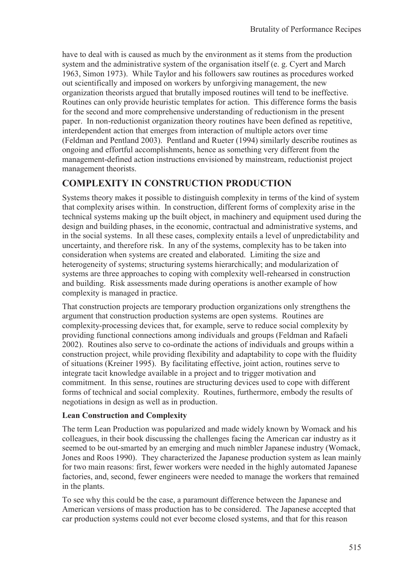have to deal with is caused as much by the environment as it stems from the production system and the administrative system of the organisation itself (e. g. Cyert and March 1963, Simon 1973). While Taylor and his followers saw routines as procedures worked out scientifically and imposed on workers by unforgiving management, the new organization theorists argued that brutally imposed routines will tend to be ineffective. Routines can only provide heuristic templates for action. This difference forms the basis for the second and more comprehensive understanding of reductionism in the present paper. In non-reductionist organization theory routines have been defined as repetitive, interdependent action that emerges from interaction of multiple actors over time (Feldman and Pentland 2003). Pentland and Rueter (1994) similarly describe routines as ongoing and effortful accomplishments, hence as something very different from the management-defined action instructions envisioned by mainstream, reductionist project management theorists.

## **COMPLEXITY IN CONSTRUCTION PRODUCTION**

Systems theory makes it possible to distinguish complexity in terms of the kind of system that complexity arises within. In construction, different forms of complexity arise in the technical systems making up the built object, in machinery and equipment used during the design and building phases, in the economic, contractual and administrative systems, and in the social systems. In all these cases, complexity entails a level of unpredictability and uncertainty, and therefore risk. In any of the systems, complexity has to be taken into consideration when systems are created and elaborated. Limiting the size and heterogeneity of systems; structuring systems hierarchically; and modularization of systems are three approaches to coping with complexity well-rehearsed in construction and building. Risk assessments made during operations is another example of how complexity is managed in practice.

That construction projects are temporary production organizations only strengthens the argument that construction production systems are open systems. Routines are complexity-processing devices that, for example, serve to reduce social complexity by providing functional connections among individuals and groups (Feldman and Rafaeli 2002). Routines also serve to co-ordinate the actions of individuals and groups within a construction project, while providing flexibility and adaptability to cope with the fluidity of situations (Kreiner 1995). By facilitating effective, joint action, routines serve to integrate tacit knowledge available in a project and to trigger motivation and commitment. In this sense, routines are structuring devices used to cope with different forms of technical and social complexity. Routines, furthermore, embody the results of negotiations in design as well as in production.

### **Lean Construction and Complexity**

The term Lean Production was popularized and made widely known by Womack and his colleagues, in their book discussing the challenges facing the American car industry as it seemed to be out-smarted by an emerging and much nimbler Japanese industry (Womack, Jones and Roos 1990). They characterized the Japanese production system as lean mainly for two main reasons: first, fewer workers were needed in the highly automated Japanese factories, and, second, fewer engineers were needed to manage the workers that remained in the plants.

To see why this could be the case, a paramount difference between the Japanese and American versions of mass production has to be considered. The Japanese accepted that car production systems could not ever become closed systems, and that for this reason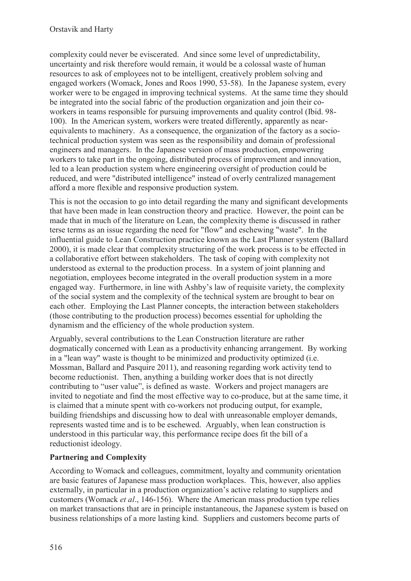complexity could never be eviscerated. And since some level of unpredictability, uncertainty and risk therefore would remain, it would be a colossal waste of human resources to ask of employees not to be intelligent, creatively problem solving and engaged workers (Womack, Jones and Roos 1990, 53-58). In the Japanese system, every worker were to be engaged in improving technical systems. At the same time they should be integrated into the social fabric of the production organization and join their coworkers in teams responsible for pursuing improvements and quality control (Ibid. 98- 100). In the American system, workers were treated differently, apparently as nearequivalents to machinery. As a consequence, the organization of the factory as a sociotechnical production system was seen as the responsibility and domain of professional engineers and managers. In the Japanese version of mass production, empowering workers to take part in the ongoing, distributed process of improvement and innovation, led to a lean production system where engineering oversight of production could be reduced, and were "distributed intelligence" instead of overly centralized management afford a more flexible and responsive production system.

This is not the occasion to go into detail regarding the many and significant developments that have been made in lean construction theory and practice. However, the point can be made that in much of the literature on Lean, the complexity theme is discussed in rather terse terms as an issue regarding the need for "flow" and eschewing "waste". In the influential guide to Lean Construction practice known as the Last Planner system (Ballard 2000), it is made clear that complexity structuring of the work process is to be effected in a collaborative effort between stakeholders. The task of coping with complexity not understood as external to the production process. In a system of joint planning and negotiation, employees become integrated in the overall production system in a more engaged way. Furthermore, in line with Ashby's law of requisite variety, the complexity of the social system and the complexity of the technical system are brought to bear on each other. Employing the Last Planner concepts, the interaction between stakeholders (those contributing to the production process) becomes essential for upholding the dynamism and the efficiency of the whole production system.

Arguably, several contributions to the Lean Construction literature are rather dogmatically concerned with Lean as a productivity enhancing arrangement. By working in a "lean way" waste is thought to be minimized and productivity optimized (i.e. Mossman, Ballard and Pasquire 2011), and reasoning regarding work activity tend to become reductionist. Then, anything a building worker does that is not directly contributing to "user value", is defined as waste. Workers and project managers are invited to negotiate and find the most effective way to co-produce, but at the same time, it is claimed that a minute spent with co-workers not producing output, for example, building friendships and discussing how to deal with unreasonable employer demands, represents wasted time and is to be eschewed. Arguably, when lean construction is understood in this particular way, this performance recipe does fit the bill of a reductionist ideology.

### **Partnering and Complexity**

According to Womack and colleagues, commitment, loyalty and community orientation are basic features of Japanese mass production workplaces. This, however, also applies externally, in particular in a production organization's active relating to suppliers and customers (Womack *et al*., 146-156). Where the American mass production type relies on market transactions that are in principle instantaneous, the Japanese system is based on business relationships of a more lasting kind. Suppliers and customers become parts of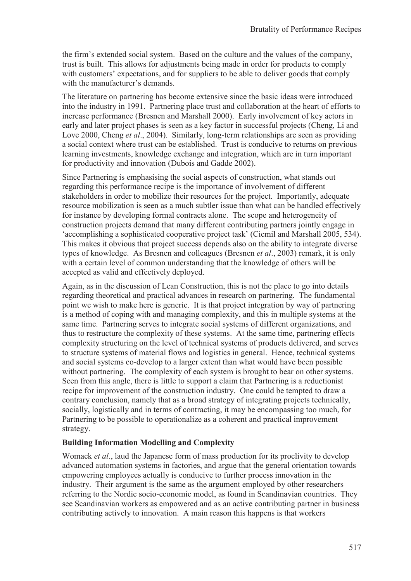the firm's extended social system. Based on the culture and the values of the company, trust is built. This allows for adjustments being made in order for products to comply with customers' expectations, and for suppliers to be able to deliver goods that comply with the manufacturer's demands.

The literature on partnering has become extensive since the basic ideas were introduced into the industry in 1991. Partnering place trust and collaboration at the heart of efforts to increase performance (Bresnen and Marshall 2000). Early involvement of key actors in early and later project phases is seen as a key factor in successful projects (Cheng, Li and Love 2000, Cheng *et al*., 2004). Similarly, long-term relationships are seen as providing a social context where trust can be established. Trust is conducive to returns on previous learning investments, knowledge exchange and integration, which are in turn important for productivity and innovation (Dubois and Gadde 2002).

Since Partnering is emphasising the social aspects of construction, what stands out regarding this performance recipe is the importance of involvement of different stakeholders in order to mobilize their resources for the project. Importantly, adequate resource mobilization is seen as a much subtler issue than what can be handled effectively for instance by developing formal contracts alone. The scope and heterogeneity of construction projects demand that many different contributing partners jointly engage in 'accomplishing a sophisticated cooperative project task' (Cicmil and Marshall 2005, 534). This makes it obvious that project success depends also on the ability to integrate diverse types of knowledge. As Bresnen and colleagues (Bresnen *et al*., 2003) remark, it is only with a certain level of common understanding that the knowledge of others will be accepted as valid and effectively deployed.

Again, as in the discussion of Lean Construction, this is not the place to go into details regarding theoretical and practical advances in research on partnering. The fundamental point we wish to make here is generic. It is that project integration by way of partnering is a method of coping with and managing complexity, and this in multiple systems at the same time. Partnering serves to integrate social systems of different organizations, and thus to restructure the complexity of these systems. At the same time, partnering effects complexity structuring on the level of technical systems of products delivered, and serves to structure systems of material flows and logistics in general. Hence, technical systems and social systems co-develop to a larger extent than what would have been possible without partnering. The complexity of each system is brought to bear on other systems. Seen from this angle, there is little to support a claim that Partnering is a reductionist recipe for improvement of the construction industry. One could be tempted to draw a contrary conclusion, namely that as a broad strategy of integrating projects technically, socially, logistically and in terms of contracting, it may be encompassing too much, for Partnering to be possible to operationalize as a coherent and practical improvement strategy.

### **Building Information Modelling and Complexity**

Womack *et al*., laud the Japanese form of mass production for its proclivity to develop advanced automation systems in factories, and argue that the general orientation towards empowering employees actually is conducive to further process innovation in the industry. Their argument is the same as the argument employed by other researchers referring to the Nordic socio-economic model, as found in Scandinavian countries. They see Scandinavian workers as empowered and as an active contributing partner in business contributing actively to innovation. A main reason this happens is that workers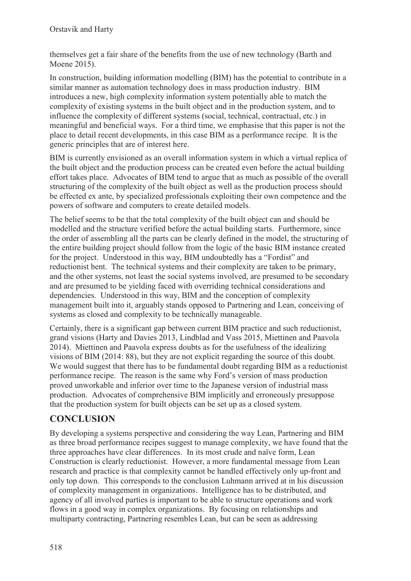themselves get a fair share of the benefits from the use of new technology (Barth and Moene 2015).

In construction, building information modelling (BIM) has the potential to contribute in a similar manner as automation technology does in mass production industry. BIM introduces a new, high complexity information system potentially able to match the complexity of existing systems in the built object and in the production system, and to influence the complexity of different systems (social, technical, contractual, etc.) in meaningful and beneficial ways. For a third time, we emphasise that this paper is not the place to detail recent developments, in this case BIM as a performance recipe. It is the generic principles that are of interest here.

BIM is currently envisioned as an overall information system in which a virtual replica of the built object and the production process can be created even before the actual building effort takes place. Advocates of BIM tend to argue that as much as possible of the overall structuring of the complexity of the built object as well as the production process should be effected ex ante, by specialized professionals exploiting their own competence and the powers of software and computers to create detailed models.

The belief seems to be that the total complexity of the built object can and should be modelled and the structure verified before the actual building starts. Furthermore, since the order of assembling all the parts can be clearly defined in the model, the structuring of the entire building project should follow from the logic of the basic BIM instance created for the project. Understood in this way, BIM undoubtedly has a "Fordist" and reductionist bent. The technical systems and their complexity are taken to be primary, and the other systems, not least the social systems involved, are presumed to be secondary and are presumed to be yielding faced with overriding technical considerations and dependencies. Understood in this way, BIM and the conception of complexity management built into it, arguably stands opposed to Partnering and Lean, conceiving of systems as closed and complexity to be technically manageable.

Certainly, there is a significant gap between current BIM practice and such reductionist, grand visions (Harty and Davies 2013, Lindblad and Vass 2015, Miettinen and Paavola 2014). Miettinen and Paavola express doubts as for the usefulness of the idealizing visions of BIM (2014: 88), but they are not explicit regarding the source of this doubt. We would suggest that there has to be fundamental doubt regarding BIM as a reductionist performance recipe. The reason is the same why Ford's version of mass production proved unworkable and inferior over time to the Japanese version of industrial mass production. Advocates of comprehensive BIM implicitly and erroneously presuppose that the production system for built objects can be set up as a closed system.

# **CONCLUSION**

By developing a systems perspective and considering the way Lean, Partnering and BIM as three broad performance recipes suggest to manage complexity, we have found that the three approaches have clear differences. In its most crude and naïve form, Lean Construction is clearly reductionist. However, a more fundamental message from Lean research and practice is that complexity cannot be handled effectively only up-front and only top down. This corresponds to the conclusion Luhmann arrived at in his discussion of complexity management in organizations. Intelligence has to be distributed, and agency of all involved parties is important to be able to structure operations and work flows in a good way in complex organizations. By focusing on relationships and multiparty contracting, Partnering resembles Lean, but can be seen as addressing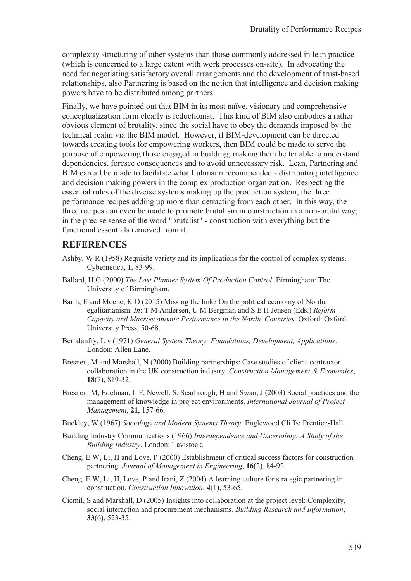complexity structuring of other systems than those commonly addressed in lean practice (which is concerned to a large extent with work processes on-site). In advocating the need for negotiating satisfactory overall arrangements and the development of trust-based relationships, also Partnering is based on the notion that intelligence and decision making powers have to be distributed among partners.

Finally, we have pointed out that BIM in its most naïve, visionary and comprehensive conceptualization form clearly is reductionist. This kind of BIM also embodies a rather obvious element of brutality, since the social have to obey the demands imposed by the technical realm via the BIM model. However, if BIM-development can be directed towards creating tools for empowering workers, then BIM could be made to serve the purpose of empowering those engaged in building; making them better able to understand dependencies, foresee consequences and to avoid unnecessary risk. Lean, Partnering and BIM can all be made to facilitate what Luhmann recommended - distributing intelligence and decision making powers in the complex production organization. Respecting the essential roles of the diverse systems making up the production system, the three performance recipes adding up more than detracting from each other. In this way, the three recipes can even be made to promote brutalism in construction in a non-brutal way; in the precise sense of the word "brutalist" - construction with everything but the functional essentials removed from it.

## **REFERENCES**

- Ashby, W R (1958) Requisite variety and its implications for the control of complex systems. Cybernetica, **1**, 83-99.
- Ballard, H G (2000) *The Last Planner System Of Production Control*. Birmingham: The University of Birmingham.
- Barth, E and Moene, K O (2015) Missing the link? On the political economy of Nordic egalitarianism. *In*: T M Andersen, U M Bergman and S E H Jensen (Eds.) *Reform Capacity and Macroeconomic Performance in the Nordic Countries*. Oxford: Oxford University Press, 50-68.
- Bertalanffy, L v (1971) *General System Theory: Foundations, Development, Applications*. London: Allen Lane.
- Bresnen, M and Marshall, N (2000) Building partnerships: Case studies of client-contractor collaboration in the UK construction industry. *Construction Management & Economics*, **18**(7), 819-32.
- Bresnen, M, Edelman, L F, Newell, S, Scarbrough, H and Swan, J (2003) Social practices and the management of knowledge in project environments. *International Journal of Project Management*, **21**, 157-66.
- Buckley, W (1967) *Sociology and Modern Systems Theory*. Englewood Cliffs: Prentice-Hall.
- Building Industry Communications (1966) *Interdependence and Uncertainty: A Study of the Building Industry*. London: Tavistock.
- Cheng, E W, Li, H and Love, P (2000) Establishment of critical success factors for construction partnering. *Journal of Management in Engineering*, **16**(2), 84-92.
- Cheng, E W, Li, H, Love, P and Irani, Z (2004) A learning culture for strategic partnering in construction. *Construction Innovation*, **4**(1), 53-65.
- Cicmil, S and Marshall, D (2005) Insights into collaboration at the project level: Complexity, social interaction and procurement mechanisms. *Building Research and Information*, **33**(6), 523-35.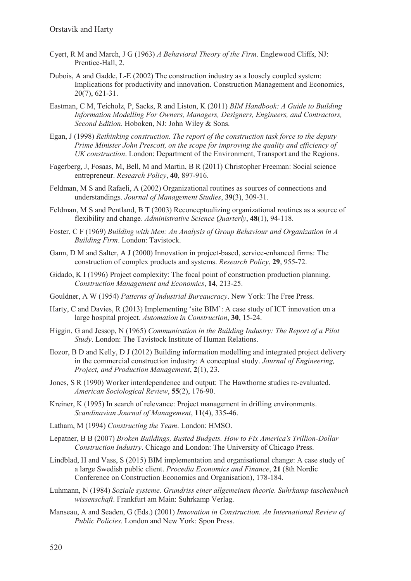- Cyert, R M and March, J G (1963) *A Behavioral Theory of the Firm*. Englewood Cliffs, NJ: Prentice-Hall, 2.
- Dubois, A and Gadde, L-E (2002) The construction industry as a loosely coupled system: Implications for productivity and innovation. Construction Management and Economics, 20(7), 621-31.
- Eastman, C M, Teicholz, P, Sacks, R and Liston, K (2011) *BIM Handbook: A Guide to Building Information Modelling For Owners, Managers, Designers, Engineers, and Contractors, Second Edition*. Hoboken, NJ: John Wiley & Sons.
- Egan, J (1998) *Rethinking construction. The report of the construction task force to the deputy Prime Minister John Prescott, on the scope for improving the quality and efficiency of UK construction*. London: Department of the Environment, Transport and the Regions.
- Fagerberg, J, Fosaas, M, Bell, M and Martin, B R (2011) Christopher Freeman: Social science entrepreneur. *Research Policy*, **40**, 897-916.
- Feldman, M S and Rafaeli, A (2002) Organizational routines as sources of connections and understandings. *Journal of Management Studies*, **39**(3), 309-31.
- Feldman, M S and Pentland, B T (2003) Reconceptualizing organizational routines as a source of flexibility and change. *Administrative Science Quarterly*, **48**(1), 94-118.
- Foster, C F (1969) *Building with Men: An Analysis of Group Behaviour and Organization in A Building Firm*. London: Tavistock.
- Gann, D M and Salter, A J (2000) Innovation in project-based, service-enhanced firms: The construction of complex products and systems. *Research Policy*, **29**, 955-72.
- Gidado, K I (1996) Project complexity: The focal point of construction production planning. *Construction Management and Economics*, **14**, 213-25.
- Gouldner, A W (1954) *Patterns of Industrial Bureaucracy*. New York: The Free Press.
- Harty, C and Davies, R (2013) Implementing 'site BIM': A case study of ICT innovation on a large hospital project. *Automation in Construction*, **30**, 15-24.
- Higgin, G and Jessop, N (1965) *Communication in the Building Industry: The Report of a Pilot Study*. London: The Tavistock Institute of Human Relations.
- Ilozor, B D and Kelly, D J (2012) Building information modelling and integrated project delivery in the commercial construction industry: A conceptual study. *Journal of Engineering, Project, and Production Management*, **2**(1), 23.
- Jones, S R (1990) Worker interdependence and output: The Hawthorne studies re-evaluated. *American Sociological Review*, **55**(2), 176-90.
- Kreiner, K (1995) In search of relevance: Project management in drifting environments. *Scandinavian Journal of Management*, **11**(4), 335-46.
- Latham, M (1994) *Constructing the Team*. London: HMSO.
- Lepatner, B B (2007) *Broken Buildings, Busted Budgets. How to Fix America's Trillion-Dollar Construction Industry*. Chicago and London: The University of Chicago Press.
- Lindblad, H and Vass, S (2015) BIM implementation and organisational change: A case study of a large Swedish public client. *Procedia Economics and Finance*, **21** (8th Nordic Conference on Construction Economics and Organisation), 178-184.
- Luhmann, N (1984) *Soziale systeme. Grundriss einer allgemeinen theorie. Suhrkamp taschenbuch wissenschaft*. Frankfurt am Main: Suhrkamp Verlag.
- Manseau, A and Seaden, G (Eds.) (2001) *Innovation in Construction. An International Review of Public Policies*. London and New York: Spon Press.